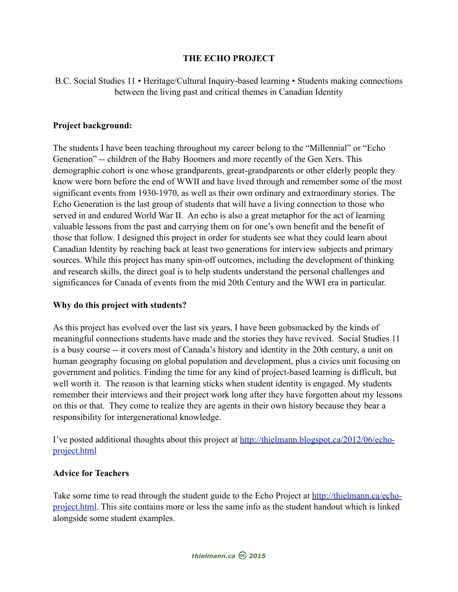## **THE ECHO PROJECT**

B.C. Social Studies 11 • Heritage/Cultural Inquiry-based learning • Students making connections between the living past and critical themes in Canadian Identity

## **Project background:**

The students I have been teaching throughout my career belong to the "Millennial" or "Echo Generation" -- children of the Baby Boomers and more recently of the Gen Xers. This demographic cohort is one whose grandparents, great-grandparents or other elderly people they know were born before the end of WWII and have lived through and remember some of the most significant events from 1930-1970, as well as their own ordinary and extraordinary stories. The Echo Generation is the last group of students that will have a living connection to those who served in and endured World War II. An echo is also a great metaphor for the act of learning valuable lessons from the past and carrying them on for one's own benefit and the benefit of those that follow. I designed this project in order for students see what they could learn about Canadian Identity by reaching back at least two generations for interview subjects and primary sources. While this project has many spin-off outcomes, including the development of thinking and research skills, the direct goal is to help students understand the personal challenges and significances for Canada of events from the mid 20th Century and the WWI era in particular.

## **Why do this project with students?**

As this project has evolved over the last six years, I have been gobsmacked by the kinds of meaningful connections students have made and the stories they have revived. Social Studies 11 is a busy course -- it covers most of Canada's history and identity in the 20th century, a unit on human geography focusing on global population and development, plus a civics unit focusing on government and politics. Finding the time for any kind of project-based learning is difficult, but well worth it. The reason is that learning sticks when student identity is engaged. My students remember their interviews and their project work long after they have forgotten about my lessons on this or that. They come to realize they are agents in their own history because they bear a responsibility for intergenerational knowledge.

I've posted additional thoughts about this project at [http://thielmann.blogspot.ca/2012/06/echo](http://thielmann.blogspot.ca/2012/06/echo-project.html)[project.html](http://thielmann.blogspot.ca/2012/06/echo-project.html)

#### **Advice for Teachers**

Take some time to read through the student guide to the Echo Project at [http://thielmann.ca/echo](http://www.thielmann.ca/echo-project.html)[project.html](http://www.thielmann.ca/echo-project.html). This site contains more or less the same info as the student handout which is linked alongside some student examples.